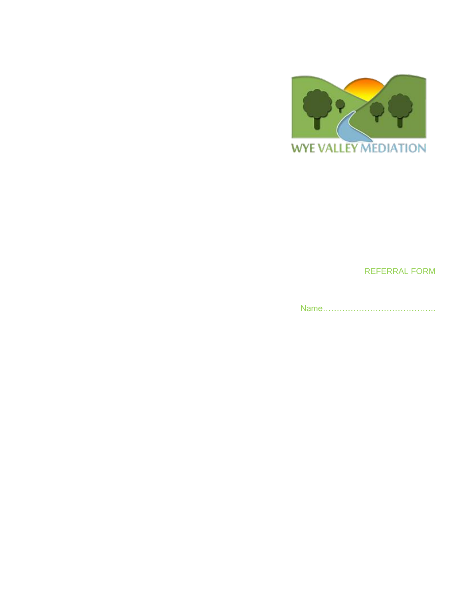

REFERRAL FORM

Name…………………………………..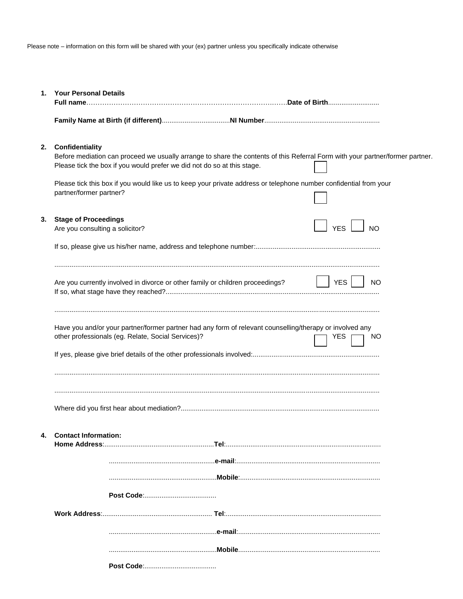Please note – information on this form will be shared with your (ex) partner unless you specifically indicate otherwise

| 1. | <b>Your Personal Details</b><br><u>Full name……………………………………………………………………………Date of Birth……………………</u>                                                                                                                          |  |
|----|-----------------------------------------------------------------------------------------------------------------------------------------------------------------------------------------------------------------------------|--|
|    |                                                                                                                                                                                                                             |  |
| 2. | Confidentiality<br>Before mediation can proceed we usually arrange to share the contents of this Referral Form with your partner/former partner.<br>Please tick the box if you would prefer we did not do so at this stage. |  |
|    | Please tick this box if you would like us to keep your private address or telephone number confidential from your<br>partner/former partner?                                                                                |  |
| 3. | <b>Stage of Proceedings</b><br><b>YES</b><br>N <sub>O</sub><br>Are you consulting a solicitor?                                                                                                                              |  |
|    |                                                                                                                                                                                                                             |  |
|    | <b>YES</b><br>Are you currently involved in divorce or other family or children proceedings?<br>NO                                                                                                                          |  |
|    | Have you and/or your partner/former partner had any form of relevant counselling/therapy or involved any<br>other professionals (eg. Relate, Social Services)?<br>YES.<br>NO.                                               |  |
|    |                                                                                                                                                                                                                             |  |
|    | 4. Contact Information:                                                                                                                                                                                                     |  |
|    |                                                                                                                                                                                                                             |  |
|    |                                                                                                                                                                                                                             |  |
|    |                                                                                                                                                                                                                             |  |
|    |                                                                                                                                                                                                                             |  |
|    |                                                                                                                                                                                                                             |  |
|    |                                                                                                                                                                                                                             |  |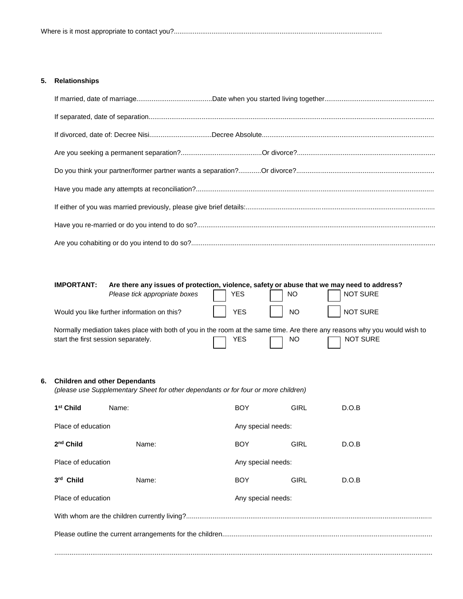## **5. Relationships**

|    | <b>IMPORTANT:</b>                    | Are there any issues of protection, violence, safety or abuse that we may need to address?                                |  |            |                    |             |                 |  |
|----|--------------------------------------|---------------------------------------------------------------------------------------------------------------------------|--|------------|--------------------|-------------|-----------------|--|
|    |                                      | Please tick appropriate boxes                                                                                             |  | <b>YES</b> |                    | <b>NO</b>   | <b>NOT SURE</b> |  |
|    |                                      | Would you like further information on this?                                                                               |  | <b>YES</b> |                    | <b>NO</b>   | <b>NOT SURE</b> |  |
|    | start the first session separately.  | Normally mediation takes place with both of you in the room at the same time. Are there any reasons why you would wish to |  | <b>YES</b> |                    | <b>NO</b>   | <b>NOT SURE</b> |  |
| 6. | <b>Children and other Dependants</b> | (please use Supplementary Sheet for other dependants or for four or more children)                                        |  |            |                    |             |                 |  |
|    | 1 <sup>st</sup> Child                | Name:                                                                                                                     |  | <b>BOY</b> |                    | <b>GIRL</b> | D.O.B           |  |
|    | Place of education                   |                                                                                                                           |  |            | Any special needs: |             |                 |  |
|    | 2 <sup>nd</sup> Child                | Name:                                                                                                                     |  | <b>BOY</b> |                    | <b>GIRL</b> | D.O.B           |  |
|    | Place of education                   |                                                                                                                           |  |            | Any special needs: |             |                 |  |
|    | 3rd Child                            | Name:                                                                                                                     |  | <b>BOY</b> |                    | <b>GIRL</b> | D.O.B           |  |
|    | Place of education                   |                                                                                                                           |  |            | Any special needs: |             |                 |  |
|    |                                      |                                                                                                                           |  |            |                    |             |                 |  |
|    |                                      |                                                                                                                           |  |            |                    |             |                 |  |
|    |                                      |                                                                                                                           |  |            |                    |             |                 |  |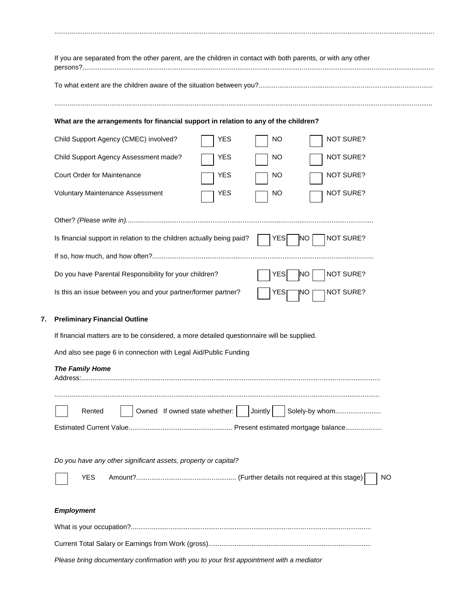| What are the arrangements for financial support in relation to any of the children?<br>Child Support Agency (CMEC) involved?<br><b>NOT SURE?</b><br>YES<br>NO<br>Child Support Agency Assessment made?<br><b>NOT SURE?</b><br>YES<br>NO<br><b>Court Order for Maintenance</b><br><b>NOT SURE?</b><br>YES<br>NO<br><b>Voluntary Maintenance Assessment</b><br><b>NOT SURE?</b><br>YES<br>NO<br>Is financial support in relation to the children actually being paid?<br><b>NOT SURE?</b><br>YES<br><b>INO</b><br>Do you have Parental Responsibility for your children?<br><b>NO</b><br><b>NOT SURE?</b><br><b>YES</b><br>Is this an issue between you and your partner/former partner?<br>NOT SURE?<br>YES<br>ļΝO<br><b>Preliminary Financial Outline</b><br>If financial matters are to be considered, a more detailed questionnaire will be supplied.<br>And also see page 6 in connection with Legal Aid/Public Funding<br><b>The Family Home</b><br>$A$ ddroee $\cdot$<br>Owned If owned state whether:     Jointly  <br>Solely-by whom<br>Rented<br>Do you have any other significant assets, property or capital?<br><b>YES</b><br><b>NO</b><br><b>Employment</b> |  | If you are separated from the other parent, are the children in contact with both parents, or with any other |  |  |  |  |
|-------------------------------------------------------------------------------------------------------------------------------------------------------------------------------------------------------------------------------------------------------------------------------------------------------------------------------------------------------------------------------------------------------------------------------------------------------------------------------------------------------------------------------------------------------------------------------------------------------------------------------------------------------------------------------------------------------------------------------------------------------------------------------------------------------------------------------------------------------------------------------------------------------------------------------------------------------------------------------------------------------------------------------------------------------------------------------------------------------------------------------------------------------------------------|--|--------------------------------------------------------------------------------------------------------------|--|--|--|--|
|                                                                                                                                                                                                                                                                                                                                                                                                                                                                                                                                                                                                                                                                                                                                                                                                                                                                                                                                                                                                                                                                                                                                                                         |  |                                                                                                              |  |  |  |  |
|                                                                                                                                                                                                                                                                                                                                                                                                                                                                                                                                                                                                                                                                                                                                                                                                                                                                                                                                                                                                                                                                                                                                                                         |  |                                                                                                              |  |  |  |  |
|                                                                                                                                                                                                                                                                                                                                                                                                                                                                                                                                                                                                                                                                                                                                                                                                                                                                                                                                                                                                                                                                                                                                                                         |  |                                                                                                              |  |  |  |  |
|                                                                                                                                                                                                                                                                                                                                                                                                                                                                                                                                                                                                                                                                                                                                                                                                                                                                                                                                                                                                                                                                                                                                                                         |  |                                                                                                              |  |  |  |  |
|                                                                                                                                                                                                                                                                                                                                                                                                                                                                                                                                                                                                                                                                                                                                                                                                                                                                                                                                                                                                                                                                                                                                                                         |  |                                                                                                              |  |  |  |  |
|                                                                                                                                                                                                                                                                                                                                                                                                                                                                                                                                                                                                                                                                                                                                                                                                                                                                                                                                                                                                                                                                                                                                                                         |  |                                                                                                              |  |  |  |  |
|                                                                                                                                                                                                                                                                                                                                                                                                                                                                                                                                                                                                                                                                                                                                                                                                                                                                                                                                                                                                                                                                                                                                                                         |  |                                                                                                              |  |  |  |  |
|                                                                                                                                                                                                                                                                                                                                                                                                                                                                                                                                                                                                                                                                                                                                                                                                                                                                                                                                                                                                                                                                                                                                                                         |  |                                                                                                              |  |  |  |  |
|                                                                                                                                                                                                                                                                                                                                                                                                                                                                                                                                                                                                                                                                                                                                                                                                                                                                                                                                                                                                                                                                                                                                                                         |  |                                                                                                              |  |  |  |  |
|                                                                                                                                                                                                                                                                                                                                                                                                                                                                                                                                                                                                                                                                                                                                                                                                                                                                                                                                                                                                                                                                                                                                                                         |  |                                                                                                              |  |  |  |  |
|                                                                                                                                                                                                                                                                                                                                                                                                                                                                                                                                                                                                                                                                                                                                                                                                                                                                                                                                                                                                                                                                                                                                                                         |  |                                                                                                              |  |  |  |  |
|                                                                                                                                                                                                                                                                                                                                                                                                                                                                                                                                                                                                                                                                                                                                                                                                                                                                                                                                                                                                                                                                                                                                                                         |  |                                                                                                              |  |  |  |  |
|                                                                                                                                                                                                                                                                                                                                                                                                                                                                                                                                                                                                                                                                                                                                                                                                                                                                                                                                                                                                                                                                                                                                                                         |  |                                                                                                              |  |  |  |  |
|                                                                                                                                                                                                                                                                                                                                                                                                                                                                                                                                                                                                                                                                                                                                                                                                                                                                                                                                                                                                                                                                                                                                                                         |  |                                                                                                              |  |  |  |  |
|                                                                                                                                                                                                                                                                                                                                                                                                                                                                                                                                                                                                                                                                                                                                                                                                                                                                                                                                                                                                                                                                                                                                                                         |  |                                                                                                              |  |  |  |  |
|                                                                                                                                                                                                                                                                                                                                                                                                                                                                                                                                                                                                                                                                                                                                                                                                                                                                                                                                                                                                                                                                                                                                                                         |  |                                                                                                              |  |  |  |  |
|                                                                                                                                                                                                                                                                                                                                                                                                                                                                                                                                                                                                                                                                                                                                                                                                                                                                                                                                                                                                                                                                                                                                                                         |  |                                                                                                              |  |  |  |  |
|                                                                                                                                                                                                                                                                                                                                                                                                                                                                                                                                                                                                                                                                                                                                                                                                                                                                                                                                                                                                                                                                                                                                                                         |  |                                                                                                              |  |  |  |  |
|                                                                                                                                                                                                                                                                                                                                                                                                                                                                                                                                                                                                                                                                                                                                                                                                                                                                                                                                                                                                                                                                                                                                                                         |  |                                                                                                              |  |  |  |  |
|                                                                                                                                                                                                                                                                                                                                                                                                                                                                                                                                                                                                                                                                                                                                                                                                                                                                                                                                                                                                                                                                                                                                                                         |  |                                                                                                              |  |  |  |  |
|                                                                                                                                                                                                                                                                                                                                                                                                                                                                                                                                                                                                                                                                                                                                                                                                                                                                                                                                                                                                                                                                                                                                                                         |  |                                                                                                              |  |  |  |  |
|                                                                                                                                                                                                                                                                                                                                                                                                                                                                                                                                                                                                                                                                                                                                                                                                                                                                                                                                                                                                                                                                                                                                                                         |  |                                                                                                              |  |  |  |  |

.........................................................................................................................................................................................................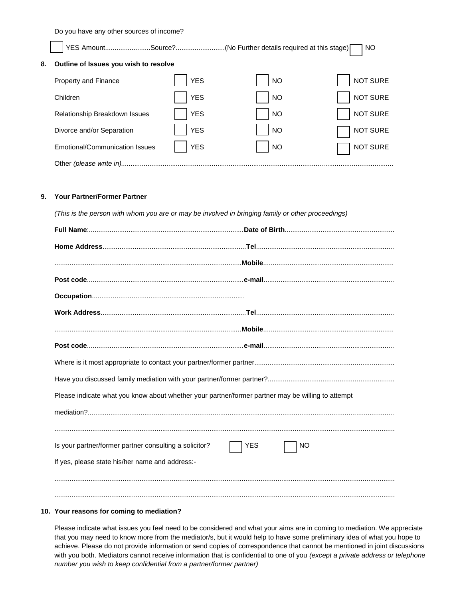Do you have any other sources of income?

YES Amount.........................Source?............................(No Further details required at this stage) NO

| Outline of Issues you wish to resolve<br>8. |  |
|---------------------------------------------|--|
|---------------------------------------------|--|

| Property and Finance           | <b>YES</b> | <b>NO</b> | NOT SURE |  |  |  |  |
|--------------------------------|------------|-----------|----------|--|--|--|--|
| Children                       | <b>YES</b> | <b>NO</b> | NOT SURE |  |  |  |  |
| Relationship Breakdown Issues  | <b>YES</b> | <b>NO</b> | NOT SURE |  |  |  |  |
| Divorce and/or Separation      | <b>YES</b> | <b>NO</b> | NOT SURE |  |  |  |  |
| Emotional/Communication Issues | <b>YES</b> | <b>NO</b> | NOT SURE |  |  |  |  |
| Other (please write in).       |            |           |          |  |  |  |  |

## **9. Your Partner/Former Partner**

| (This is the person with whom you are or may be involved in bringing family or other proceedings) |                         |  |  |  |
|---------------------------------------------------------------------------------------------------|-------------------------|--|--|--|
|                                                                                                   |                         |  |  |  |
|                                                                                                   |                         |  |  |  |
|                                                                                                   |                         |  |  |  |
|                                                                                                   |                         |  |  |  |
|                                                                                                   |                         |  |  |  |
|                                                                                                   |                         |  |  |  |
|                                                                                                   |                         |  |  |  |
|                                                                                                   |                         |  |  |  |
|                                                                                                   |                         |  |  |  |
|                                                                                                   |                         |  |  |  |
| Please indicate what you know about whether your partner/former partner may be willing to attempt |                         |  |  |  |
|                                                                                                   |                         |  |  |  |
|                                                                                                   |                         |  |  |  |
| Is your partner/former partner consulting a solicitor?                                            | <b>YES</b><br><b>NO</b> |  |  |  |
| If yes, please state his/her name and address:-                                                   |                         |  |  |  |
|                                                                                                   |                         |  |  |  |
|                                                                                                   |                         |  |  |  |

### **10. Your reasons for coming to mediation?**

Please indicate what issues you feel need to be considered and what your aims are in coming to mediation. We appreciate that you may need to know more from the mediator/s, but it would help to have some preliminary idea of what you hope to achieve. Please do not provide information or send copies of correspondence that cannot be mentioned in joint discussions with you both. Mediators cannot receive information that is confidential to one of you *(except a private address or telephone number you wish to keep confidential from a partner/former partner)*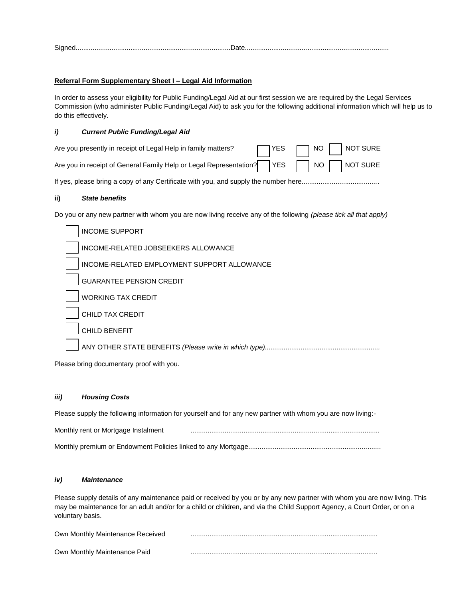| <b>.</b> |  |  |
|----------|--|--|
|          |  |  |
|          |  |  |

#### **Referral Form Supplementary Sheet I – Legal Aid Information**

In order to assess your eligibility for Public Funding/Legal Aid at our first session we are required by the Legal Services Commission (who administer Public Funding/Legal Aid) to ask you for the following additional information which will help us to do this effectively.

#### *i) Current Public Funding/Legal Aid*

| Are you presently in receipt of Legal Help in family matters?                      |  |  | $\Box$ YES $\Box$ NO $\Box$ NOT SURE |
|------------------------------------------------------------------------------------|--|--|--------------------------------------|
| Are you in receipt of General Family Help or Legal Representation? YES NO NOT SURE |  |  |                                      |

If yes, please bring a copy of any Certificate with you, and supply the number here.........................................

#### **ii)** *State benefits*

Do you or any new partner with whom you are now living receive any of the following *(please tick all that apply)*

| <b>INCOME SUPPORT</b>                                 |
|-------------------------------------------------------|
| INCOME-RELATED JOBSEEKERS ALLOWANCE                   |
| INCOME-RELATED EMPLOYMENT SUPPORT ALLOWANCE           |
| <b>GUARANTEE PENSION CREDIT</b>                       |
| <b>WORKING TAX CREDIT</b>                             |
| CHILD TAX CREDIT                                      |
| <b>CHILD BENEFIT</b>                                  |
| ANY OTHER STATE BENEFITS (Please write in which type) |
|                                                       |

Please bring documentary proof with you.

#### *iii) Housing Costs*

Please supply the following information for yourself and for any new partner with whom you are now living:-

| Monthly rent or Mortgage Instalment |  |
|-------------------------------------|--|
|                                     |  |

#### *iv) Maintenance*

Please supply details of any maintenance paid or received by you or by any new partner with whom you are now living. This may be maintenance for an adult and/or for a child or children, and via the Child Support Agency, a Court Order, or on a voluntary basis.

| Own Monthly Maintenance Received |  |
|----------------------------------|--|
| Own Monthly Maintenance Paid     |  |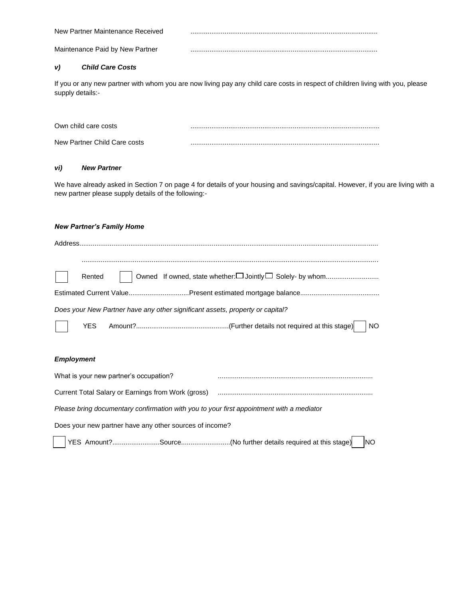| New Partner Maintenance Received |  |
|----------------------------------|--|
| Maintenance Paid by New Partner  |  |

## *v) Child Care Costs*

If you or any new partner with whom you are now living pay any child care costs in respect of children living with you, please supply details:-

| Own child care costs         |  |
|------------------------------|--|
| New Partner Child Care costs |  |

## *vi) New Partner*

We have already asked in Section 7 on page 4 for details of your housing and savings/capital. However, if you are living with a new partner please supply details of the following:-

#### *New Partner's Family Home*

| Rented     | Owned If owned, state whether:□ Jointly□ Solely- by whom                      |
|------------|-------------------------------------------------------------------------------|
|            |                                                                               |
|            | Does your New Partner have any other significant assets, property or capital? |
| <b>YES</b> |                                                                               |

## *Employment*

 $\overline{\phantom{a}}$ 

| What is your new partner's occupation?                                                   |                |
|------------------------------------------------------------------------------------------|----------------|
| Current Total Salary or Earnings from Work (gross)                                       |                |
| Please bring documentary confirmation with you to your first appointment with a mediator |                |
| Does your new partner have any other sources of income?                                  |                |
| │YES Amount?Source(No further details required at this stage)                            | N <sub>O</sub> |